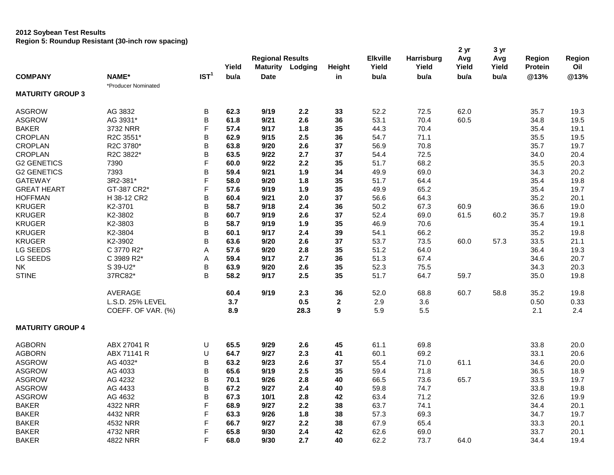## **2012 Soybean Test Results Region 5: Roundup Resistant (30-inch row spacing)**

|                         |                     |                  | Yield | <b>Regional Results</b><br><b>Maturity</b> | Lodging | Height           | <b>Elkville</b><br>Yield | <b>Harrisburg</b><br>Yield | 2 <sub>yr</sub><br>Avg<br>Yield | 3 yr<br>Avg<br>Yield | <b>Region</b><br><b>Protein</b> | <b>Region</b><br>Oil |
|-------------------------|---------------------|------------------|-------|--------------------------------------------|---------|------------------|--------------------------|----------------------------|---------------------------------|----------------------|---------------------------------|----------------------|
| <b>COMPANY</b>          | <b>NAME*</b>        | IST <sup>1</sup> | bu/a  | <b>Date</b>                                |         | in               | bu/a                     | bu/a                       | bu/a                            | bu/a                 | @13%                            | @13%                 |
|                         | *Producer Nominated |                  |       |                                            |         |                  |                          |                            |                                 |                      |                                 |                      |
| <b>MATURITY GROUP 3</b> |                     |                  |       |                                            |         |                  |                          |                            |                                 |                      |                                 |                      |
| <b>ASGROW</b>           | AG 3832             | B                | 62.3  | 9/19                                       | 2.2     | 33               | 52.2                     | 72.5                       | 62.0                            |                      | 35.7                            | 19.3                 |
| <b>ASGROW</b>           | AG 3931*            | B                | 61.8  | 9/21                                       | 2.6     | 36               | 53.1                     | 70.4                       | 60.5                            |                      | 34.8                            | 19.5                 |
| <b>BAKER</b>            | 3732 NRR            | F                | 57.4  | 9/17                                       | 1.8     | 35               | 44.3                     | 70.4                       |                                 |                      | 35.4                            | 19.1                 |
| <b>CROPLAN</b>          | R2C 3551*           | B                | 62.9  | 9/15                                       | 2.5     | 36               | 54.7                     | 71.1                       |                                 |                      | 35.5                            | 19.5                 |
| <b>CROPLAN</b>          | R2C 3780*           | B                | 63.8  | 9/20                                       | 2.6     | 37               | 56.9                     | 70.8                       |                                 |                      | 35.7                            | 19.7                 |
| <b>CROPLAN</b>          | R2C 3822*           | B                | 63.5  | 9/22                                       | 2.7     | 37               | 54.4                     | 72.5                       |                                 |                      | 34.0                            | 20.4                 |
| <b>G2 GENETICS</b>      | 7390                | F                | 60.0  | 9/22                                       | 2.2     | 35               | 51.7                     | 68.2                       |                                 |                      | 35.5                            | 20.3                 |
| <b>G2 GENETICS</b>      | 7393                | B                | 59.4  | 9/21                                       | 1.9     | 34               | 49.9                     | 69.0                       |                                 |                      | 34.3                            | 20.2                 |
| <b>GATEWAY</b>          | 3R2-381*            | F                | 58.0  | 9/20                                       | 1.8     | 35               | 51.7                     | 64.4                       |                                 |                      | 35.4                            | 19.8                 |
| <b>GREAT HEART</b>      | GT-387 CR2*         | F.               | 57.6  | 9/19                                       | 1.9     | 35               | 49.9                     | 65.2                       |                                 |                      | 35.4                            | 19.7                 |
| <b>HOFFMAN</b>          | H 38-12 CR2         | B                | 60.4  | 9/21                                       | 2.0     | 37               | 56.6                     | 64.3                       |                                 |                      | 35.2                            | 20.1                 |
| <b>KRUGER</b>           | K2-3701             | B                | 58.7  | 9/18                                       | 2.4     | 36               | 50.2                     | 67.3                       | 60.9                            |                      | 36.6                            | 19.0                 |
| <b>KRUGER</b>           | K2-3802             | B                | 60.7  | 9/19                                       | 2.6     | 37               | 52.4                     | 69.0                       | 61.5                            | 60.2                 | 35.7                            | 19.8                 |
| <b>KRUGER</b>           | K2-3803             | B                | 58.7  | 9/19                                       | 1.9     | 35               | 46.9                     | 70.6                       |                                 |                      | 35.4                            | 19.1                 |
| <b>KRUGER</b>           | K2-3804             | B                | 60.1  | 9/17                                       | 2.4     | 39               | 54.1                     | 66.2                       |                                 |                      | 35.2                            | 19.8                 |
| <b>KRUGER</b>           | K2-3902             | B                | 63.6  | 9/20                                       | 2.6     | 37               | 53.7                     | 73.5                       | 60.0                            | 57.3                 | 33.5                            | 21.1                 |
| LG SEEDS                | C 3770 R2*          | A                | 57.6  | 9/20                                       | 2.8     | 35               | 51.2                     | 64.0                       |                                 |                      | 36.4                            | 19.3                 |
| LG SEEDS                | C 3989 R2*          | Α                | 59.4  | 9/17                                       | 2.7     | 36               | 51.3                     | 67.4                       |                                 |                      | 34.6                            | 20.7                 |
| <b>NK</b>               | S 39-U2*            | B                | 63.9  | 9/20                                       | 2.6     | 35               | 52.3                     | 75.5                       |                                 |                      | 34.3                            | 20.3                 |
| <b>STINE</b>            | 37RC82*             | B                |       |                                            | 2.5     |                  |                          |                            |                                 |                      |                                 |                      |
|                         |                     |                  | 58.2  | 9/17                                       |         | 35               | 51.7                     | 64.7                       | 59.7                            |                      | 35.0                            | 19.8                 |
|                         | AVERAGE             |                  | 60.4  | 9/19                                       | 2.3     | 36               | 52.0                     | 68.8                       | 60.7                            | 58.8                 | 35.2                            | 19.8                 |
|                         | L.S.D. 25% LEVEL    |                  | 3.7   |                                            | 0.5     | $\mathbf{2}$     | 2.9                      | 3.6                        |                                 |                      | 0.50                            | 0.33                 |
|                         | COEFF. OF VAR. (%)  |                  | 8.9   |                                            | 28.3    | $\boldsymbol{9}$ | 5.9                      | 5.5                        |                                 |                      | 2.1                             | 2.4                  |
| <b>MATURITY GROUP 4</b> |                     |                  |       |                                            |         |                  |                          |                            |                                 |                      |                                 |                      |
| <b>AGBORN</b>           | ABX 27041 R         | U                | 65.5  | 9/29                                       | 2.6     | 45               | 61.1                     | 69.8                       |                                 |                      | 33.8                            | 20.0                 |
| <b>AGBORN</b>           | ABX 71141 R         | U                | 64.7  | 9/27                                       | 2.3     | 41               | 60.1                     | 69.2                       |                                 |                      | 33.1                            | 20.6                 |
| <b>ASGROW</b>           | AG 4032*            | B                | 63.2  | 9/23                                       | 2.6     | 37               | 55.4                     | 71.0                       | 61.1                            |                      | 34.6                            | 20.0                 |
| <b>ASGROW</b>           | AG 4033             | B                | 65.6  | 9/19                                       | 2.5     | 35               | 59.4                     | 71.8                       |                                 |                      | 36.5                            | 18.9                 |
| <b>ASGROW</b>           | AG 4232             | B                | 70.1  | 9/26                                       | 2.8     | 40               | 66.5                     | 73.6                       | 65.7                            |                      | 33.5                            | 19.7                 |
| <b>ASGROW</b>           | AG 4433             | B                | 67.2  | 9/27                                       | 2.4     | 40               | 59.8                     | 74.7                       |                                 |                      | 33.8                            | 19.8                 |
| <b>ASGROW</b>           | AG 4632             | B                | 67.3  | 10/1                                       | 2.8     | 42               | 63.4                     | 71.2                       |                                 |                      | 32.6                            | 19.9                 |
| <b>BAKER</b>            | 4322 NRR            | F                | 68.9  | 9/27                                       | 2.2     | 38               | 63.7                     | 74.1                       |                                 |                      | 34.4                            | 20.1                 |
| <b>BAKER</b>            | 4432 NRR            | F                | 63.3  | 9/26                                       | 1.8     | 38               | 57.3                     | 69.3                       |                                 |                      | 34.7                            | 19.7                 |
| <b>BAKER</b>            | 4532 NRR            | F                | 66.7  | 9/27                                       | 2.2     | 38               | 67.9                     | 65.4                       |                                 |                      | 33.3                            | 20.1                 |
| <b>BAKER</b>            | 4732 NRR            | F                | 65.8  | 9/30                                       | 2.4     | 42               | 62.6                     | 69.0                       |                                 |                      | 33.7                            | 20.1                 |
| <b>BAKER</b>            | 4822 NRR            | F                | 68.0  | 9/30                                       | 2.7     | 40               | 62.2                     | 73.7                       | 64.0                            |                      | 34.4                            | 19.4                 |
|                         |                     |                  |       |                                            |         |                  |                          |                            |                                 |                      |                                 |                      |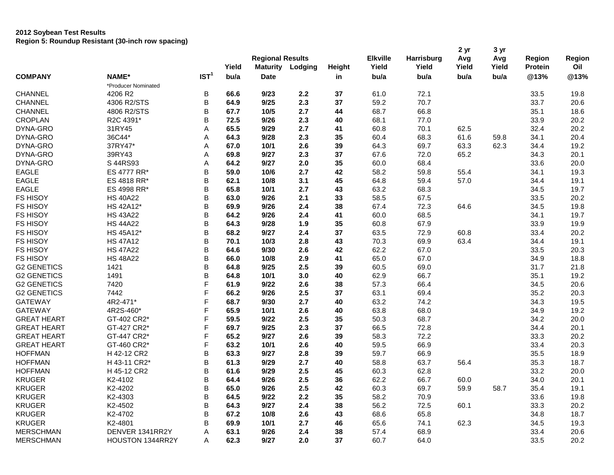## **2012 Soybean Test Results Region 5: Roundup Resistant (30-inch row spacing)**

|                    |                         |                  |               | <b>Regional Results</b>        |         |        | <b>Elkville</b> | Harrisburg    | 2 <sub>yr</sub><br>Avg | 3 yr<br>Avg   | <b>Region</b>          | Region      |
|--------------------|-------------------------|------------------|---------------|--------------------------------|---------|--------|-----------------|---------------|------------------------|---------------|------------------------|-------------|
| <b>COMPANY</b>     | NAME*                   | IST <sup>1</sup> | Yield<br>bu/a | <b>Maturity</b><br><b>Date</b> | Lodging | Height | Yield<br>bu/a   | Yield<br>bu/a | Yield<br>bu/a          | Yield<br>bu/a | <b>Protein</b><br>@13% | Oil<br>@13% |
|                    | *Producer Nominated     |                  |               |                                |         | in     |                 |               |                        |               |                        |             |
| <b>CHANNEL</b>     | 4206 R2                 | B                | 66.6          | 9/23                           | 2.2     | 37     | 61.0            | 72.1          |                        |               | 33.5                   | 19.8        |
| <b>CHANNEL</b>     | 4306 R2/STS             | B                | 64.9          | 9/25                           | 2.3     | 37     | 59.2            | 70.7          |                        |               | 33.7                   | 20.6        |
| CHANNEL            | 4806 R2/STS             | B                | 67.7          | 10/5                           | 2.7     | 44     | 68.7            | 66.8          |                        |               |                        | 18.6        |
|                    | R2C 4391*               | B                |               |                                | 2.3     |        |                 | 77.0          |                        |               | 35.1                   |             |
| <b>CROPLAN</b>     |                         |                  | 72.5          | 9/26<br>9/29                   |         | 40     | 68.1            |               |                        |               | 33.9                   | 20.2        |
| DYNA-GRO           | 31RY45                  | Α                | 65.5          |                                | 2.7     | 41     | 60.8            | 70.1          | 62.5                   |               | 32.4                   | 20.2        |
| DYNA-GRO           | 36C44*                  | Α                | 64.3          | 9/28                           | 2.3     | 35     | 60.4            | 68.3          | 61.6                   | 59.8          | 34.1                   | 20.4        |
| DYNA-GRO           | 37RY47*                 | A                | 67.0          | 10/1                           | 2.6     | 39     | 64.3            | 69.7          | 63.3                   | 62.3          | 34.4                   | 19.2        |
| DYNA-GRO           | 39RY43                  | Α                | 69.8          | 9/27                           | 2.3     | 37     | 67.6            | 72.0          | 65.2                   |               | 34.3                   | 20.1        |
| DYNA-GRO           | S 44RS93                | Α                | 64.2          | 9/27                           | 2.0     | 35     | 60.0            | 68.4          |                        |               | 33.6                   | 20.0        |
| <b>EAGLE</b>       | ES 4777 RR*             | B                | 59.0          | 10/6                           | 2.7     | 42     | 58.2            | 59.8          | 55.4                   |               | 34.1                   | 19.3        |
| <b>EAGLE</b>       | ES 4818 RR*             | B                | 62.1          | 10/8                           | 3.1     | 45     | 64.8            | 59.4          | 57.0                   |               | 34.4                   | 19.1        |
| <b>EAGLE</b>       | ES 4998 RR*             | B                | 65.8          | 10/1                           | 2.7     | 43     | 63.2            | 68.3          |                        |               | 34.5                   | 19.7        |
| <b>FS HISOY</b>    | <b>HS 40A22</b>         | B                | 63.0          | 9/26                           | 2.1     | 33     | 58.5            | 67.5          |                        |               | 33.5                   | 20.2        |
| <b>FS HISOY</b>    | HS 42A12*               | B                | 69.9          | 9/26                           | 2.4     | 38     | 67.4            | 72.3          | 64.6                   |               | 34.5                   | 19.8        |
| FS HISOY           | <b>HS 43A22</b>         | B                | 64.2          | 9/26                           | 2.4     | 41     | 60.0            | 68.5          |                        |               | 34.1                   | 19.7        |
| <b>FS HISOY</b>    | <b>HS 44A22</b>         | B                | 64.3          | 9/28                           | 1.9     | 35     | 60.8            | 67.9          |                        |               | 33.9                   | 19.9        |
| <b>FS HISOY</b>    | HS 45A12*               | B                | 68.2          | 9/27                           | 2.4     | 37     | 63.5            | 72.9          | 60.8                   |               | 33.4                   | 20.2        |
| FS HISOY           | <b>HS 47A12</b>         | B                | 70.1          | 10/3                           | 2.8     | 43     | 70.3            | 69.9          | 63.4                   |               | 34.4                   | 19.1        |
| FS HISOY           | <b>HS 47A22</b>         | B                | 64.6          | 9/30                           | 2.6     | 42     | 62.2            | 67.0          |                        |               | 33.5                   | 20.3        |
| FS HISOY           | <b>HS 48A22</b>         | B                | 66.0          | 10/8                           | 2.9     | 41     | 65.0            | 67.0          |                        |               | 34.9                   | 18.8        |
| <b>G2 GENETICS</b> | 1421                    | B                | 64.8          | 9/25                           | 2.5     | 39     | 60.5            | 69.0          |                        |               | 31.7                   | 21.8        |
| <b>G2 GENETICS</b> | 1491                    | B                | 64.8          | 10/1                           | 3.0     | 40     | 62.9            | 66.7          |                        |               | 35.1                   | 19.2        |
| <b>G2 GENETICS</b> | 7420                    | F                | 61.9          | 9/22                           | 2.6     | 38     | 57.3            | 66.4          |                        |               | 34.5                   | 20.6        |
| <b>G2 GENETICS</b> | 7442                    | F                | 66.2          | 9/26                           | 2.5     | 37     | 63.1            | 69.4          |                        |               | 35.2                   | 20.3        |
| <b>GATEWAY</b>     | 4R2-471*                | F                | 68.7          | 9/30                           | 2.7     | 40     | 63.2            | 74.2          |                        |               | 34.3                   | 19.5        |
| <b>GATEWAY</b>     | 4R2S-460*               | F                | 65.9          | 10/1                           | 2.6     | 40     | 63.8            | 68.0          |                        |               | 34.9                   | 19.2        |
| <b>GREAT HEART</b> | GT-402 CR2*             | F                | 59.5          | 9/22                           | 2.5     | 35     | 50.3            | 68.7          |                        |               | 34.2                   | 20.0        |
| <b>GREAT HEART</b> | GT-427 CR2*             | F                | 69.7          | 9/25                           | 2.3     | 37     | 66.5            | 72.8          |                        |               | 34.4                   | 20.1        |
| <b>GREAT HEART</b> | GT-447 CR2*             | F                | 65.2          | 9/27                           | 2.6     | 39     | 58.3            | 72.2          |                        |               | 33.3                   | 20.2        |
| <b>GREAT HEART</b> | GT-460 CR2*             | F                | 63.2          | 10/1                           | 2.6     | 40     | 59.5            | 66.9          |                        |               | 33.4                   | 20.3        |
| <b>HOFFMAN</b>     | H 42-12 CR2             | B                | 63.3          | 9/27                           | 2.8     | 39     | 59.7            | 66.9          |                        |               | 35.5                   | 18.9        |
| <b>HOFFMAN</b>     |                         |                  |               |                                | 2.7     |        |                 |               |                        |               |                        |             |
|                    | H 43-11 CR2*            | B<br>B           | 61.3          | 9/29                           |         | 40     | 58.8            | 63.7          | 56.4                   |               | 35.3                   | 18.7        |
| <b>HOFFMAN</b>     | H 45-12 CR2             |                  | 61.6          | 9/29                           | 2.5     | 45     | 60.3            | 62.8          |                        |               | 33.2                   | 20.0        |
| <b>KRUGER</b>      | K2-4102                 | B                | 64.4          | 9/26                           | 2.5     | 36     | 62.2            | 66.7          | 60.0                   |               | 34.0                   | 20.1        |
| <b>KRUGER</b>      | K2-4202                 | B                | 65.0          | 9/26                           | 2.5     | 42     | 60.3            | 69.7          | 59.9                   | 58.7          | 35.4                   | 19.1        |
| <b>KRUGER</b>      | K2-4303                 | B                | 64.5          | 9/22                           | 2.2     | 35     | 58.2            | 70.9          |                        |               | 33.6                   | 19.8        |
| <b>KRUGER</b>      | K2-4502                 | B                | 64.3          | 9/27                           | 2.4     | 38     | 56.2            | 72.5          | 60.1                   |               | 33.3                   | 20.2        |
| <b>KRUGER</b>      | K2-4702                 | B                | 67.2          | 10/8                           | 2.6     | 43     | 68.6            | 65.8          |                        |               | 34.8                   | 18.7        |
| <b>KRUGER</b>      | K2-4801                 | B                | 69.9          | 10/1                           | 2.7     | 46     | 65.6            | 74.1          | 62.3                   |               | 34.5                   | 19.3        |
| <b>MERSCHMAN</b>   | DENVER 1341RR2Y         | Α                | 63.1          | 9/26                           | 2.4     | 38     | 57.4            | 68.9          |                        |               | 33.4                   | 20.6        |
| <b>MERSCHMAN</b>   | <b>HOUSTON 1344RR2Y</b> | A                | 62.3          | 9/27                           | 2.0     | 37     | 60.7            | 64.0          |                        |               | 33.5                   | 20.2        |